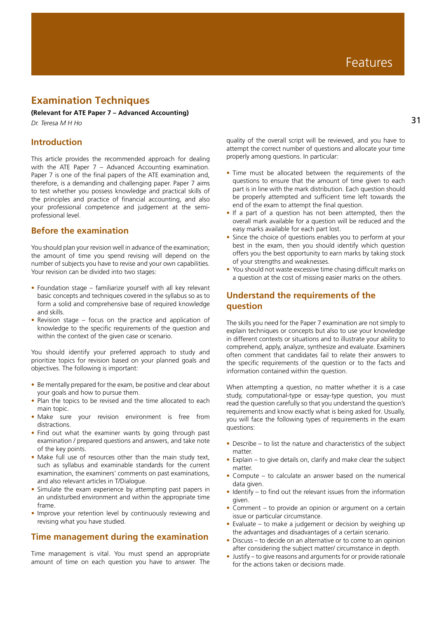# **Examination Techniques**

#### **(Relevant for ATE Paper 7 – Advanced Accounting)**

*Dr. Teresa M H Ho*

## **Introduction**

This article provides the recommended approach for dealing with the ATE Paper 7 – Advanced Accounting examination. Paper 7 is one of the final papers of the ATE examination and, therefore, is a demanding and challenging paper. Paper 7 aims to test whether you possess knowledge and practical skills of the principles and practice of financial accounting, and also your professional competence and judgement at the semiprofessional level.

## **Before the examination**

You should plan your revision well in advance of the examination; the amount of time you spend revising will depend on the number of subjects you have to revise and your own capabilities. Your revision can be divided into two stages:

- Foundation stage familiarize yourself with all key relevant basic concepts and techniques covered in the syllabus so as to form a solid and comprehensive base of required knowledge and skills.
- Revision stage focus on the practice and application of knowledge to the specific requirements of the question and within the context of the given case or scenario.

You should identify your preferred approach to study and prioritize topics for revision based on your planned goals and objectives. The following is important:

- Be mentally prepared for the exam, be positive and clear about your goals and how to pursue them.
- Plan the topics to be revised and the time allocated to each main topic.
- Make sure your revision environment is free from distractions.
- Find out what the examiner wants by going through past examination / prepared questions and answers, and take note of the key points.
- Make full use of resources other than the main study text, such as syllabus and examinable standards for the current examination, the examiners' comments on past examinations, and also relevant articles in T/Dialogue.
- Simulate the exam experience by attempting past papers in an undisturbed environment and within the appropriate time frame.
- Improve your retention level by continuously reviewing and revising what you have studied.

### **Time management during the examination**

Time management is vital. You must spend an appropriate amount of time on each question you have to answer. The quality of the overall script will be reviewed, and you have to attempt the correct number of questions and allocate your time properly among questions. In particular:

- Time must be allocated between the requirements of the questions to ensure that the amount of time given to each part is in line with the mark distribution. Each question should be properly attempted and sufficient time left towards the end of the exam to attempt the final question.
- If a part of a question has not been attempted, then the overall mark available for a question will be reduced and the easy marks available for each part lost.
- Since the choice of questions enables you to perform at your best in the exam, then you should identify which question offers you the best opportunity to earn marks by taking stock of your strengths and weaknesses.
- You should not waste excessive time chasing difficult marks on a question at the cost of missing easier marks on the others.

# **Understand the requirements of the question**

The skills you need for the Paper 7 examination are not simply to explain techniques or concepts but also to use your knowledge in different contexts or situations and to illustrate your ability to comprehend, apply, analyze, synthesize and evaluate. Examiners often comment that candidates fail to relate their answers to the specific requirements of the question or to the facts and information contained within the question.

When attempting a question, no matter whether it is a case study, computational-type or essay-type question, you must read the question carefully so that you understand the question's requirements and know exactly what is being asked for. Usually, you will face the following types of requirements in the exam questions:

- Describe to list the nature and characteristics of the subject matter.
- Explain to give details on, clarify and make clear the subject matter.
- Compute to calculate an answer based on the numerical data given.
- Identify to find out the relevant issues from the information given.
- Comment to provide an opinion or argument on a certain issue or particular circumstance.
- Evaluate to make a judgement or decision by weighing up the advantages and disadvantages of a certain scenario.
- Discuss to decide on an alternative or to come to an opinion after considering the subject matter/ circumstance in depth.
- Justify to give reasons and arguments for or provide rationale for the actions taken or decisions made.